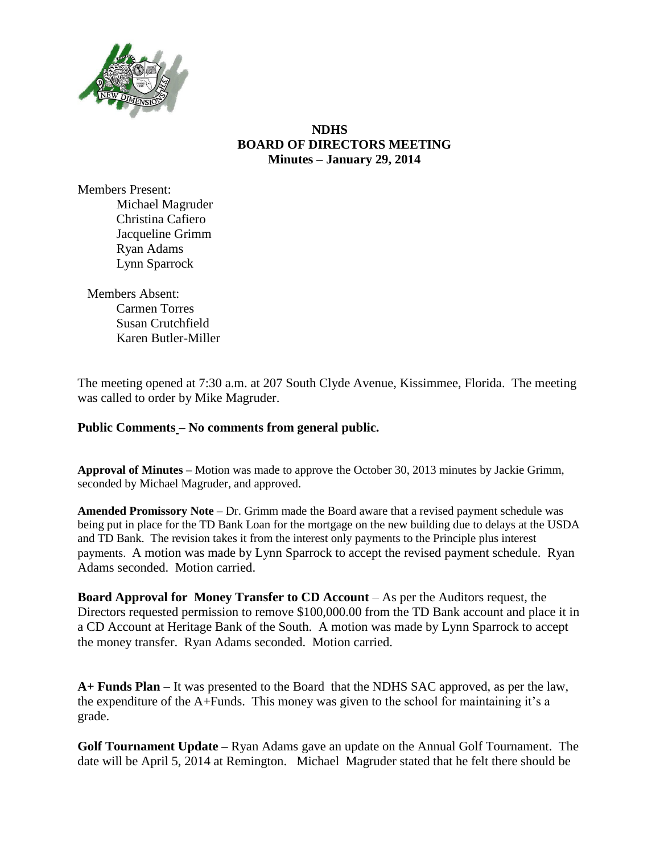

## **NDHS BOARD OF DIRECTORS MEETING Minutes – January 29, 2014**

Members Present: Michael Magruder Christina Cafiero Jacqueline Grimm Ryan Adams Lynn Sparrock

Members Absent: Carmen Torres Susan Crutchfield Karen Butler-Miller

The meeting opened at 7:30 a.m. at 207 South Clyde Avenue, Kissimmee, Florida. The meeting was called to order by Mike Magruder.

## **Public Comments – No comments from general public.**

**Approval of Minutes –** Motion was made to approve the October 30, 2013 minutes by Jackie Grimm, seconded by Michael Magruder, and approved.

**Amended Promissory Note** – Dr. Grimm made the Board aware that a revised payment schedule was being put in place for the TD Bank Loan for the mortgage on the new building due to delays at the USDA and TD Bank. The revision takes it from the interest only payments to the Principle plus interest payments. A motion was made by Lynn Sparrock to accept the revised payment schedule. Ryan Adams seconded. Motion carried.

**Board Approval for Money Transfer to CD Account** – As per the Auditors request, the Directors requested permission to remove \$100,000.00 from the TD Bank account and place it in a CD Account at Heritage Bank of the South. A motion was made by Lynn Sparrock to accept the money transfer. Ryan Adams seconded. Motion carried.

**A+ Funds Plan** – It was presented to the Board that the NDHS SAC approved, as per the law, the expenditure of the A+Funds. This money was given to the school for maintaining it's a grade.

**Golf Tournament Update –** Ryan Adams gave an update on the Annual Golf Tournament. The date will be April 5, 2014 at Remington. Michael Magruder stated that he felt there should be